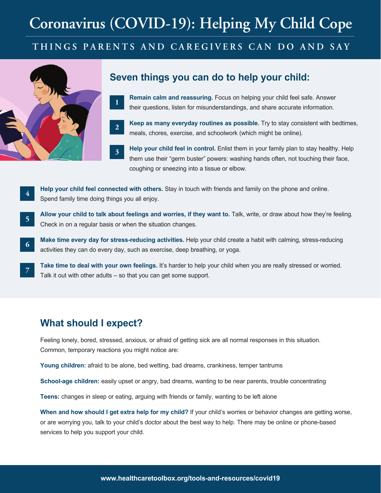# **Coronavirus (COVID-19): Helping My Child Cope**

### **THINGS PARENTS AND CAREGIVERS CAN DO AND SAY**



**4**

**6**

**7**

**1**

**2**

**3**

#### **Seven things you can do to help your child:**

- **Remain calm and reassuring.** Focus on helping your child feel safe. Answer their questions, listen for misunderstandings, and share accurate information.
- **Keep as many everyday routines as possible.** Try to stay consistent with bedtimes, meals, chores, exercise, and schoolwork (which might be online).

**Help your child feel in control.** Enlist them in your family plan to stay healthy. Help them use their "germ buster" powers: washing hands often, not touching their face, coughing or sneezing into a tissue or elbow.

**Help your child feel connected with others.** Stay in touch with friends and family on the phone and online. Spend family time doing things you all enjoy.

**Allow your child to talk about feelings and worries, if they want to.** Talk, write, or draw about how they're feeling. Check in on a regular basis or when the situation changes. **5**

**Make time every day for stress-reducing activities.** Help your child create a habit with calming, stress-reducing activities they can do every day, such as exercise, deep breathing, or yoga.

**Take time to deal with your own feelings.** It's harder to help your child when you are really stressed or worried. Talk it out with other adults – so that you can get some support.

#### **What should I expect?**

Feeling lonely, bored, stressed, anxious, or afraid of getting sick are all normal responses in this situation. Common, temporary reactions you might notice are:

**Young children:** afraid to be alone, bed wetting, bad dreams, crankiness, temper tantrums

**School-age children:** easily upset or angry, bad dreams, wanting to be near parents, trouble concentrating

**Teens:** changes in sleep or eating, arguing with friends or family, wanting to be left alone

**When and how should I get extra help for my child?** If your child's worries or behavior changes are getting worse, or are worrying you, talk to your child's doctor about the best way to help. There may be online or phone-based services to help you support your child.